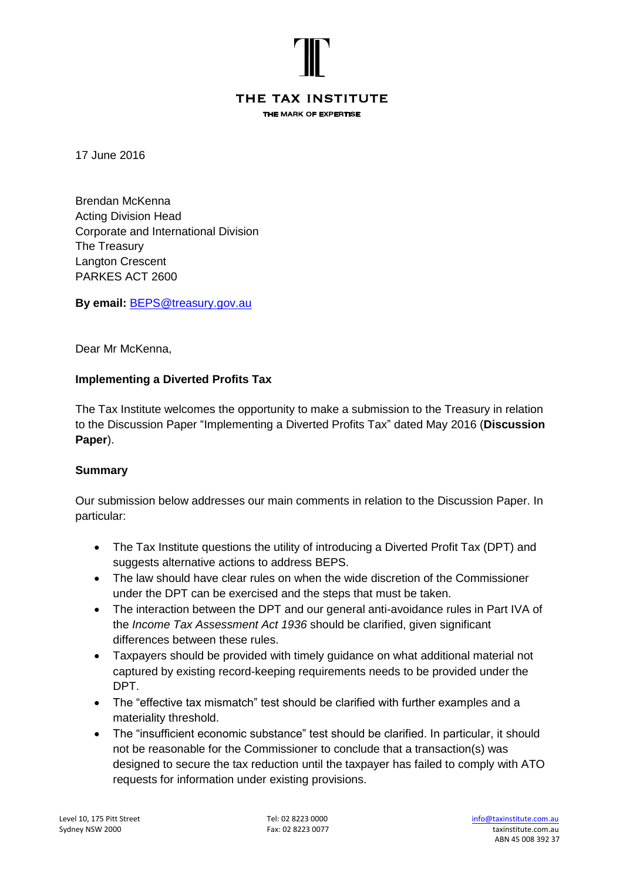

# THE TAX INSTITUTE

THE MARK OF EXPERTISE

17 June 2016

Brendan McKenna Acting Division Head Corporate and International Division The Treasury Langton Crescent PARKES ACT 2600

**By email:** [BEPS@treasury.gov.au](mailto:BEPS@treasury.gov.au)

Dear Mr McKenna,

# **Implementing a Diverted Profits Tax**

The Tax Institute welcomes the opportunity to make a submission to the Treasury in relation to the Discussion Paper "Implementing a Diverted Profits Tax" dated May 2016 (**Discussion Paper**).

# **Summary**

Our submission below addresses our main comments in relation to the Discussion Paper. In particular:

- The Tax Institute questions the utility of introducing a Diverted Profit Tax (DPT) and suggests alternative actions to address BEPS.
- The law should have clear rules on when the wide discretion of the Commissioner under the DPT can be exercised and the steps that must be taken.
- The interaction between the DPT and our general anti-avoidance rules in Part IVA of the *Income Tax Assessment Act 1936* should be clarified, given significant differences between these rules.
- Taxpayers should be provided with timely guidance on what additional material not captured by existing record-keeping requirements needs to be provided under the DPT.
- The "effective tax mismatch" test should be clarified with further examples and a materiality threshold.
- The "insufficient economic substance" test should be clarified. In particular, it should not be reasonable for the Commissioner to conclude that a transaction(s) was designed to secure the tax reduction until the taxpayer has failed to comply with ATO requests for information under existing provisions.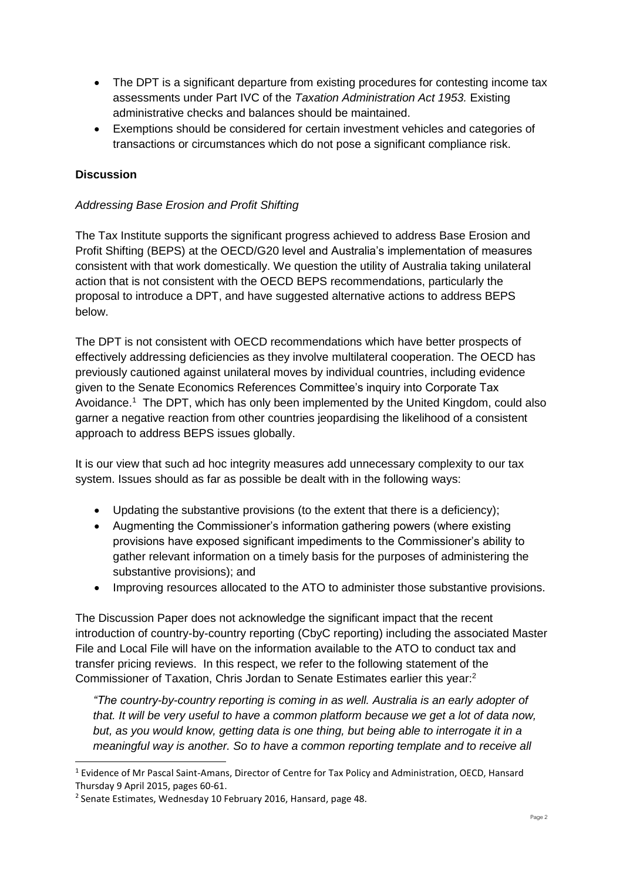- The DPT is a significant departure from existing procedures for contesting income tax assessments under Part IVC of the *Taxation Administration Act 1953.* Existing administrative checks and balances should be maintained.
- Exemptions should be considered for certain investment vehicles and categories of transactions or circumstances which do not pose a significant compliance risk.

# **Discussion**

1

# *Addressing Base Erosion and Profit Shifting*

The Tax Institute supports the significant progress achieved to address Base Erosion and Profit Shifting (BEPS) at the OECD/G20 level and Australia's implementation of measures consistent with that work domestically. We question the utility of Australia taking unilateral action that is not consistent with the OECD BEPS recommendations, particularly the proposal to introduce a DPT, and have suggested alternative actions to address BEPS below.

The DPT is not consistent with OECD recommendations which have better prospects of effectively addressing deficiencies as they involve multilateral cooperation. The OECD has previously cautioned against unilateral moves by individual countries, including evidence given to the Senate Economics References Committee's inquiry into Corporate Tax Avoidance. 1 The DPT, which has only been implemented by the United Kingdom, could also garner a negative reaction from other countries jeopardising the likelihood of a consistent approach to address BEPS issues globally.

It is our view that such ad hoc integrity measures add unnecessary complexity to our tax system. Issues should as far as possible be dealt with in the following ways:

- Updating the substantive provisions (to the extent that there is a deficiency);
- Augmenting the Commissioner's information gathering powers (where existing provisions have exposed significant impediments to the Commissioner's ability to gather relevant information on a timely basis for the purposes of administering the substantive provisions); and
- Improving resources allocated to the ATO to administer those substantive provisions.

The Discussion Paper does not acknowledge the significant impact that the recent introduction of country-by-country reporting (CbyC reporting) including the associated Master File and Local File will have on the information available to the ATO to conduct tax and transfer pricing reviews. In this respect, we refer to the following statement of the Commissioner of Taxation, Chris Jordan to Senate Estimates earlier this year:<sup>2</sup>

*"The country-by-country reporting is coming in as well. Australia is an early adopter of that. It will be very useful to have a common platform because we get a lot of data now, but, as you would know, getting data is one thing, but being able to interrogate it in a meaningful way is another. So to have a common reporting template and to receive all* 

<sup>&</sup>lt;sup>1</sup> Evidence of Mr Pascal Saint-Amans, Director of Centre for Tax Policy and Administration, OECD, Hansard Thursday 9 April 2015, pages 60-61.

<sup>2</sup> Senate Estimates, Wednesday 10 February 2016, Hansard, page 48.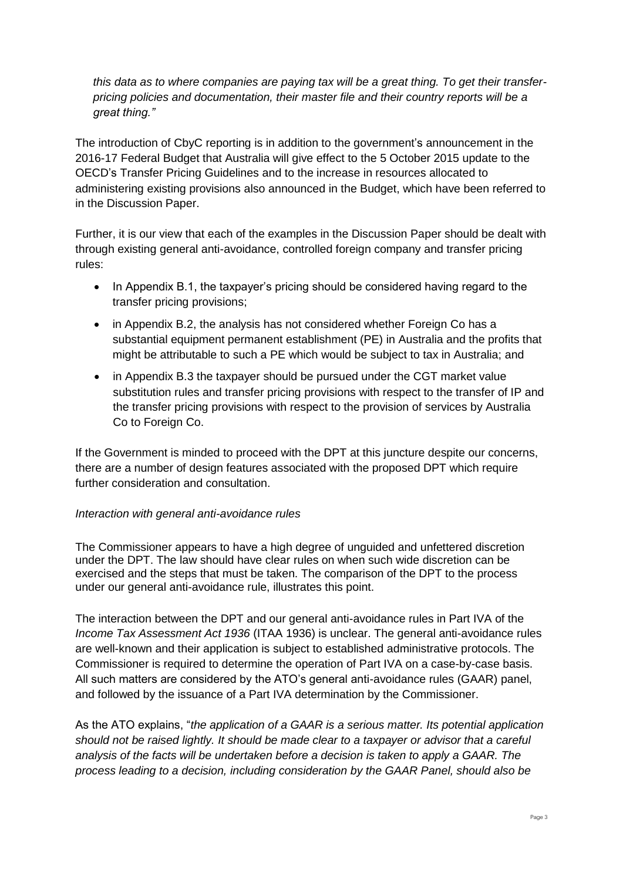*this data as to where companies are paying tax will be a great thing. To get their transferpricing policies and documentation, their master file and their country reports will be a great thing."*

The introduction of CbyC reporting is in addition to the government's announcement in the 2016-17 Federal Budget that Australia will give effect to the 5 October 2015 update to the OECD's Transfer Pricing Guidelines and to the increase in resources allocated to administering existing provisions also announced in the Budget, which have been referred to in the Discussion Paper.

Further, it is our view that each of the examples in the Discussion Paper should be dealt with through existing general anti-avoidance, controlled foreign company and transfer pricing rules:

- In Appendix B.1, the taxpayer's pricing should be considered having regard to the transfer pricing provisions;
- in Appendix B.2, the analysis has not considered whether Foreign Co has a substantial equipment permanent establishment (PE) in Australia and the profits that might be attributable to such a PE which would be subject to tax in Australia; and
- in Appendix B.3 the taxpayer should be pursued under the CGT market value substitution rules and transfer pricing provisions with respect to the transfer of IP and the transfer pricing provisions with respect to the provision of services by Australia Co to Foreign Co.

If the Government is minded to proceed with the DPT at this juncture despite our concerns, there are a number of design features associated with the proposed DPT which require further consideration and consultation.

# *Interaction with general anti-avoidance rules*

The Commissioner appears to have a high degree of unguided and unfettered discretion under the DPT. The law should have clear rules on when such wide discretion can be exercised and the steps that must be taken. The comparison of the DPT to the process under our general anti-avoidance rule, illustrates this point.

The interaction between the DPT and our general anti-avoidance rules in Part IVA of the *Income Tax Assessment Act 1936* (ITAA 1936) is unclear. The general anti-avoidance rules are well-known and their application is subject to established administrative protocols. The Commissioner is required to determine the operation of Part IVA on a case-by-case basis. All such matters are considered by the ATO's general anti-avoidance rules (GAAR) panel, and followed by the issuance of a Part IVA determination by the Commissioner.

As the ATO explains, "*the application of a GAAR is a serious matter. Its potential application should not be raised lightly. It should be made clear to a taxpayer or advisor that a careful analysis of the facts will be undertaken before a decision is taken to apply a GAAR. The process leading to a decision, including consideration by the GAAR Panel, should also be*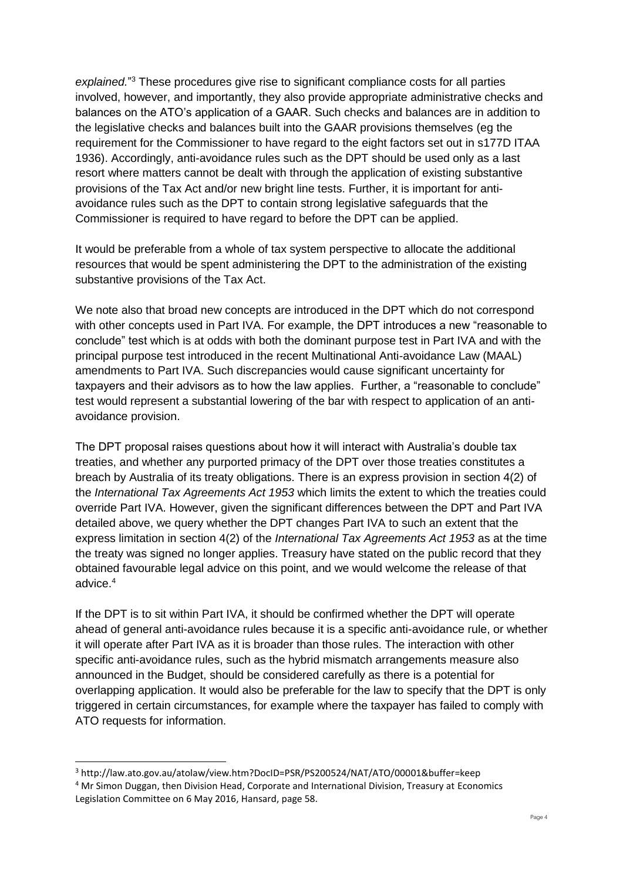explained."<sup>3</sup> These procedures give rise to significant compliance costs for all parties involved, however, and importantly, they also provide appropriate administrative checks and balances on the ATO's application of a GAAR. Such checks and balances are in addition to the legislative checks and balances built into the GAAR provisions themselves (eg the requirement for the Commissioner to have regard to the eight factors set out in s177D ITAA 1936). Accordingly, anti-avoidance rules such as the DPT should be used only as a last resort where matters cannot be dealt with through the application of existing substantive provisions of the Tax Act and/or new bright line tests. Further, it is important for antiavoidance rules such as the DPT to contain strong legislative safeguards that the Commissioner is required to have regard to before the DPT can be applied.

It would be preferable from a whole of tax system perspective to allocate the additional resources that would be spent administering the DPT to the administration of the existing substantive provisions of the Tax Act.

We note also that broad new concepts are introduced in the DPT which do not correspond with other concepts used in Part IVA. For example, the DPT introduces a new "reasonable to conclude" test which is at odds with both the dominant purpose test in Part IVA and with the principal purpose test introduced in the recent Multinational Anti-avoidance Law (MAAL) amendments to Part IVA. Such discrepancies would cause significant uncertainty for taxpayers and their advisors as to how the law applies. Further, a "reasonable to conclude" test would represent a substantial lowering of the bar with respect to application of an antiavoidance provision.

The DPT proposal raises questions about how it will interact with Australia's double tax treaties, and whether any purported primacy of the DPT over those treaties constitutes a breach by Australia of its treaty obligations. There is an express provision in section 4(2) of the *International Tax Agreements Act 1953* which limits the extent to which the treaties could override Part IVA. However, given the significant differences between the DPT and Part IVA detailed above, we query whether the DPT changes Part IVA to such an extent that the express limitation in section 4(2) of the *International Tax Agreements Act 1953* as at the time the treaty was signed no longer applies. Treasury have stated on the public record that they obtained favourable legal advice on this point, and we would welcome the release of that advice.<sup>4</sup>

If the DPT is to sit within Part IVA, it should be confirmed whether the DPT will operate ahead of general anti-avoidance rules because it is a specific anti-avoidance rule, or whether it will operate after Part IVA as it is broader than those rules. The interaction with other specific anti-avoidance rules, such as the hybrid mismatch arrangements measure also announced in the Budget, should be considered carefully as there is a potential for overlapping application. It would also be preferable for the law to specify that the DPT is only triggered in certain circumstances, for example where the taxpayer has failed to comply with ATO requests for information.

1

<sup>3</sup> http://law.ato.gov.au/atolaw/view.htm?DocID=PSR/PS200524/NAT/ATO/00001&buffer=keep <sup>4</sup> Mr Simon Duggan, then Division Head, Corporate and International Division, Treasury at Economics Legislation Committee on 6 May 2016, Hansard, page 58.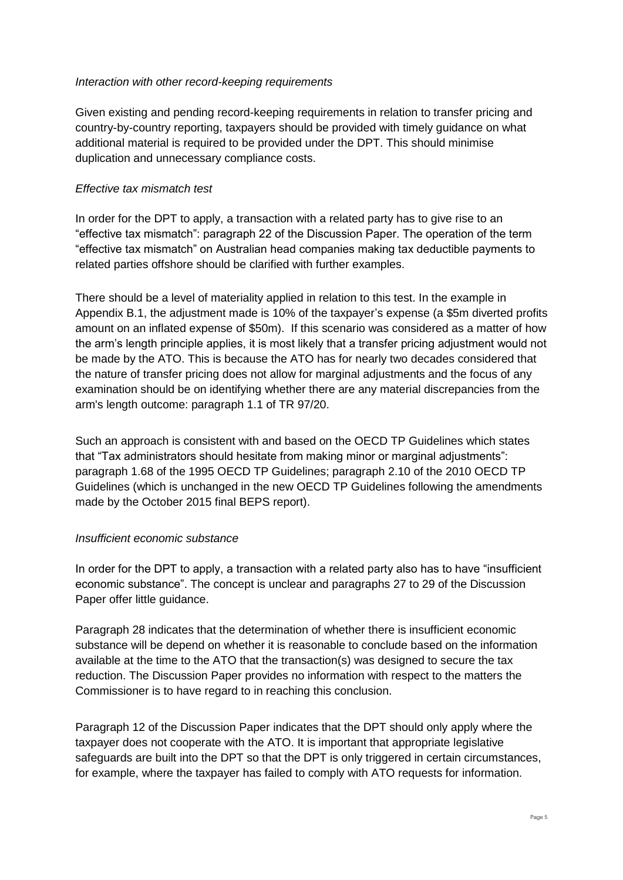### *Interaction with other record-keeping requirements*

Given existing and pending record-keeping requirements in relation to transfer pricing and country-by-country reporting, taxpayers should be provided with timely guidance on what additional material is required to be provided under the DPT. This should minimise duplication and unnecessary compliance costs.

### *Effective tax mismatch test*

In order for the DPT to apply, a transaction with a related party has to give rise to an "effective tax mismatch": paragraph 22 of the Discussion Paper. The operation of the term "effective tax mismatch" on Australian head companies making tax deductible payments to related parties offshore should be clarified with further examples.

There should be a level of materiality applied in relation to this test. In the example in Appendix B.1, the adjustment made is 10% of the taxpayer's expense (a \$5m diverted profits amount on an inflated expense of \$50m). If this scenario was considered as a matter of how the arm's length principle applies, it is most likely that a transfer pricing adjustment would not be made by the ATO. This is because the ATO has for nearly two decades considered that the nature of transfer pricing does not allow for marginal adjustments and the focus of any examination should be on identifying whether there are any material discrepancies from the arm's length outcome: paragraph 1.1 of TR 97/20.

Such an approach is consistent with and based on the OECD TP Guidelines which states that "Tax administrators should hesitate from making minor or marginal adjustments": paragraph 1.68 of the 1995 OECD TP Guidelines; paragraph 2.10 of the 2010 OECD TP Guidelines (which is unchanged in the new OECD TP Guidelines following the amendments made by the October 2015 final BEPS report).

#### *Insufficient economic substance*

In order for the DPT to apply, a transaction with a related party also has to have "insufficient economic substance". The concept is unclear and paragraphs 27 to 29 of the Discussion Paper offer little guidance.

Paragraph 28 indicates that the determination of whether there is insufficient economic substance will be depend on whether it is reasonable to conclude based on the information available at the time to the ATO that the transaction(s) was designed to secure the tax reduction. The Discussion Paper provides no information with respect to the matters the Commissioner is to have regard to in reaching this conclusion.

Paragraph 12 of the Discussion Paper indicates that the DPT should only apply where the taxpayer does not cooperate with the ATO. It is important that appropriate legislative safeguards are built into the DPT so that the DPT is only triggered in certain circumstances, for example, where the taxpayer has failed to comply with ATO requests for information.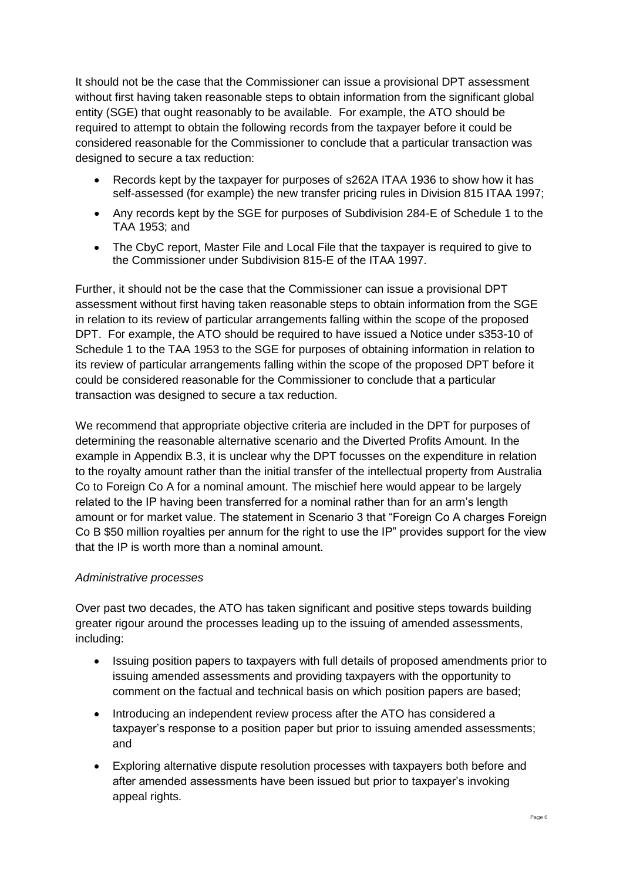It should not be the case that the Commissioner can issue a provisional DPT assessment without first having taken reasonable steps to obtain information from the significant global entity (SGE) that ought reasonably to be available. For example, the ATO should be required to attempt to obtain the following records from the taxpayer before it could be considered reasonable for the Commissioner to conclude that a particular transaction was designed to secure a tax reduction:

- Records kept by the taxpayer for purposes of s262A ITAA 1936 to show how it has self-assessed (for example) the new transfer pricing rules in Division 815 ITAA 1997;
- Any records kept by the SGE for purposes of Subdivision 284-E of Schedule 1 to the TAA 1953; and
- The CbyC report, Master File and Local File that the taxpayer is required to give to the Commissioner under Subdivision 815-E of the ITAA 1997.

Further, it should not be the case that the Commissioner can issue a provisional DPT assessment without first having taken reasonable steps to obtain information from the SGE in relation to its review of particular arrangements falling within the scope of the proposed DPT. For example, the ATO should be required to have issued a Notice under s353-10 of Schedule 1 to the TAA 1953 to the SGE for purposes of obtaining information in relation to its review of particular arrangements falling within the scope of the proposed DPT before it could be considered reasonable for the Commissioner to conclude that a particular transaction was designed to secure a tax reduction.

We recommend that appropriate objective criteria are included in the DPT for purposes of determining the reasonable alternative scenario and the Diverted Profits Amount. In the example in Appendix B.3, it is unclear why the DPT focusses on the expenditure in relation to the royalty amount rather than the initial transfer of the intellectual property from Australia Co to Foreign Co A for a nominal amount. The mischief here would appear to be largely related to the IP having been transferred for a nominal rather than for an arm's length amount or for market value. The statement in Scenario 3 that "Foreign Co A charges Foreign Co B \$50 million royalties per annum for the right to use the IP" provides support for the view that the IP is worth more than a nominal amount.

# *Administrative processes*

Over past two decades, the ATO has taken significant and positive steps towards building greater rigour around the processes leading up to the issuing of amended assessments, including:

- Issuing position papers to taxpayers with full details of proposed amendments prior to issuing amended assessments and providing taxpayers with the opportunity to comment on the factual and technical basis on which position papers are based;
- Introducing an independent review process after the ATO has considered a taxpayer's response to a position paper but prior to issuing amended assessments; and
- Exploring alternative dispute resolution processes with taxpayers both before and after amended assessments have been issued but prior to taxpayer's invoking appeal rights.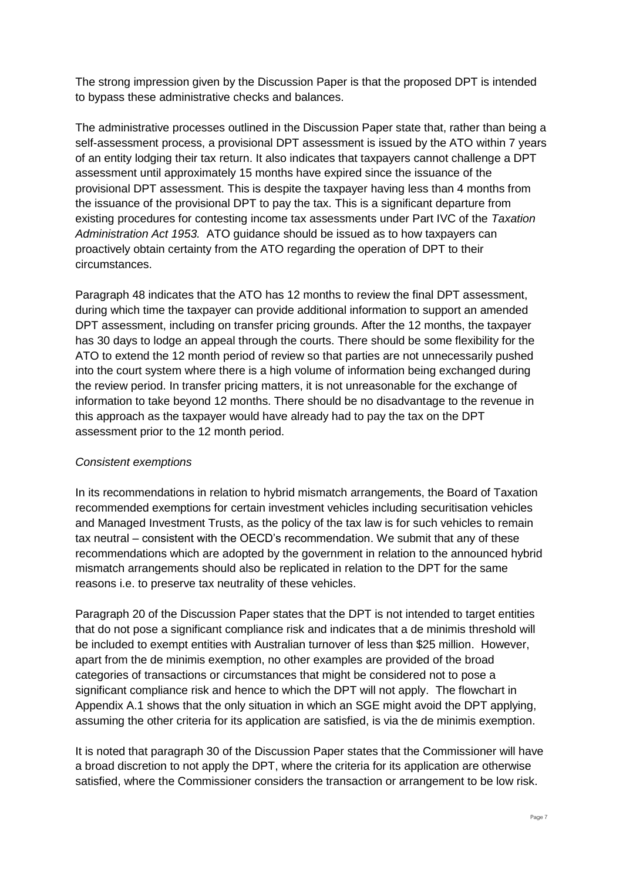The strong impression given by the Discussion Paper is that the proposed DPT is intended to bypass these administrative checks and balances.

The administrative processes outlined in the Discussion Paper state that, rather than being a self-assessment process, a provisional DPT assessment is issued by the ATO within 7 years of an entity lodging their tax return. It also indicates that taxpayers cannot challenge a DPT assessment until approximately 15 months have expired since the issuance of the provisional DPT assessment. This is despite the taxpayer having less than 4 months from the issuance of the provisional DPT to pay the tax. This is a significant departure from existing procedures for contesting income tax assessments under Part IVC of the *Taxation Administration Act 1953.* ATO guidance should be issued as to how taxpayers can proactively obtain certainty from the ATO regarding the operation of DPT to their circumstances.

Paragraph 48 indicates that the ATO has 12 months to review the final DPT assessment, during which time the taxpayer can provide additional information to support an amended DPT assessment, including on transfer pricing grounds. After the 12 months, the taxpayer has 30 days to lodge an appeal through the courts. There should be some flexibility for the ATO to extend the 12 month period of review so that parties are not unnecessarily pushed into the court system where there is a high volume of information being exchanged during the review period. In transfer pricing matters, it is not unreasonable for the exchange of information to take beyond 12 months. There should be no disadvantage to the revenue in this approach as the taxpayer would have already had to pay the tax on the DPT assessment prior to the 12 month period.

# *Consistent exemptions*

In its recommendations in relation to hybrid mismatch arrangements, the Board of Taxation recommended exemptions for certain investment vehicles including securitisation vehicles and Managed Investment Trusts, as the policy of the tax law is for such vehicles to remain tax neutral – consistent with the OECD's recommendation. We submit that any of these recommendations which are adopted by the government in relation to the announced hybrid mismatch arrangements should also be replicated in relation to the DPT for the same reasons i.e. to preserve tax neutrality of these vehicles.

Paragraph 20 of the Discussion Paper states that the DPT is not intended to target entities that do not pose a significant compliance risk and indicates that a de minimis threshold will be included to exempt entities with Australian turnover of less than \$25 million. However, apart from the de minimis exemption, no other examples are provided of the broad categories of transactions or circumstances that might be considered not to pose a significant compliance risk and hence to which the DPT will not apply. The flowchart in Appendix A.1 shows that the only situation in which an SGE might avoid the DPT applying, assuming the other criteria for its application are satisfied, is via the de minimis exemption.

It is noted that paragraph 30 of the Discussion Paper states that the Commissioner will have a broad discretion to not apply the DPT, where the criteria for its application are otherwise satisfied, where the Commissioner considers the transaction or arrangement to be low risk.